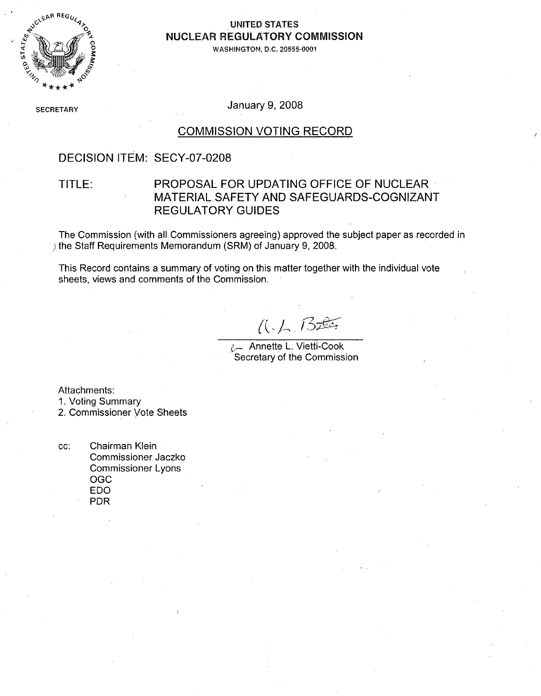

#### **UNITED STATES NUCLEAR REGULATORY COMMISSION**

**WASHINGTON, D.C. 20555-0001**

**SECRETARY** January **9, 2008**

#### **COMMISSION VOTING** RECORD

### **DECISION** ITEM: **SECY-07-0208**

### TITLE: PROPOSAL FOR **UPDATING OFFICE** OF **NUCLEAR** MATERIALSAFETY **AND SAFEGUARDS-COGNIZANT** REGULATORY **GUIDES**

The Commission (with all Commissioners agreeing) approved the subject paper as recorded in )the Staff Requirements Memorandum (SRM) of January **9, 2008.**

This Record contains a summary of voting on this matter together with the individual vote sheets, views and comments of the Commission.

 $A - L$  Bother

**L-** Annette L. Vietti-Cook Secretary of the Commission

Attachments:

**1.** Voting Summary

2. Commissioner Vote Sheets

**cc:** Chairman Klein Commissioner Jaczko Commissioner Lyons **OGO EDO** PDR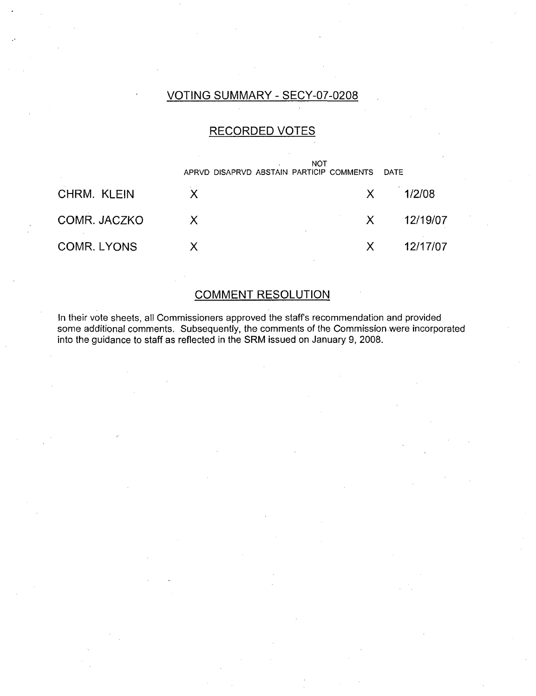## **VOTING** SUMMARY **- SECY-07-0208**

#### RECORDED **VOTES**



#### **COMMENT RESOLUTION**

In their vote sheets, all Commissioners approved the staffs recommendation and provided some additional comments. Subsequently, the comments of the Commission were incorporated into the guidance to staff as reflected in the SRM issued on January **9, 2008.**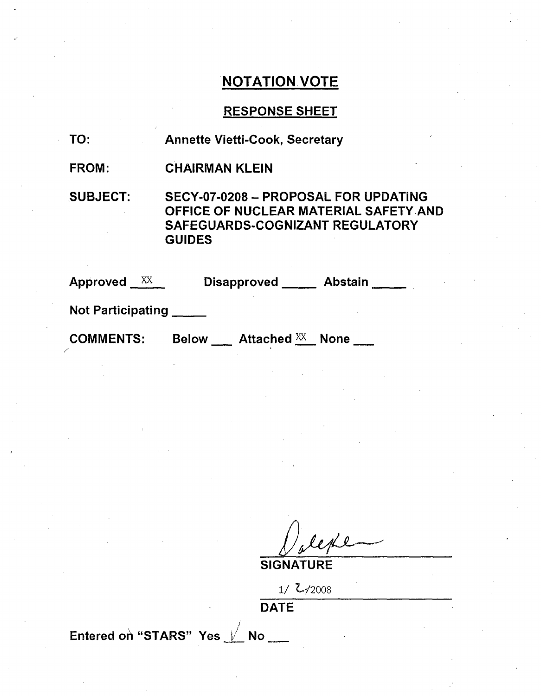## **NOTATION VOTE**

## **RESPONSE SHEET**

| TO: | <b>Annette Vietti-Cook, Secretary</b> |  |
|-----|---------------------------------------|--|
|-----|---------------------------------------|--|

FROM: CHAIRMAN **KLEIN**

**SUBJECT: SECY-07-0208 -** PROPOSAL FOR **UPDATING OFFICE** OF **NUCLEAR** MATERIAL SAFETY **AND SAFEGUARDS-COGNIZANT** REGULATORY **GUIDES**

| XX<br><b>Approved</b>    | <b>Abstain</b><br><b>Disapproved</b>       |
|--------------------------|--------------------------------------------|
| <b>Not Participating</b> |                                            |
| <b>COMMENTS:</b>         | Attached XX<br><b>Below</b><br><b>None</b> |

**SIGNATURE**

**1/** Z,/y2008 **DATE**

Entered on "STARS" Yes  $\frac{1}{10}$  No \_\_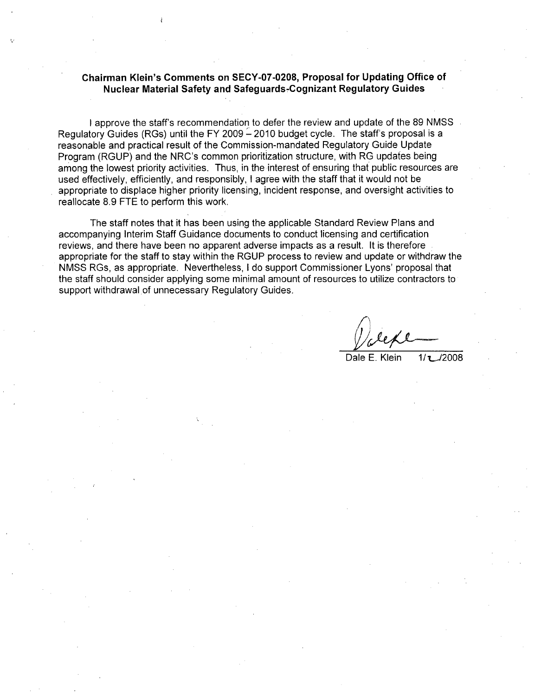#### **Chairman Klein's Comments on SECY-07-0208, Proposal for Updating Office of Nuclear Material Safety and Safeguards-7Cognizant Regulatory Guides**

**I** approve the staff's recommendation to defer the review and update of the 89 NMSS Regulatory Guides (RGs) until the FY 2009 - 2010 budget cycle. The staff's proposal is a reasonable and practical result of the Commission-mandated Regulatory Guide Update Program (RGUP) and the NRC's common prioritization structure, with RG updates being among the lowest priority activities. Thus, in the interest of ensuring that public resources are used effectively, efficiently, and responsibly, **I** agree with the staff that it would not be appropriate to displace higher priority licensing, incident response, and oversight activities to reallocate **8.9 FTE** to perform this work.

The staff notes that it has been using the applicable Standard Review Plans and accompanying Interim Staff Guidance documents to conduct licensing and certification reviews, and there have been no apparent adverse impacts as a result. It is therefore appropriate for the staff to stay within the RGUP process to review and update or withdraw the **NMVSS** RGs, as appropriate. Nevertheless, **I** do support Commissioner Lyons' proposal that the staff should consider applying some minimal amount of resources to utilize contractors to support withdrawal of unnecessary Regulatory Guides.

Dale **E.** Klein **1 / tJ2008**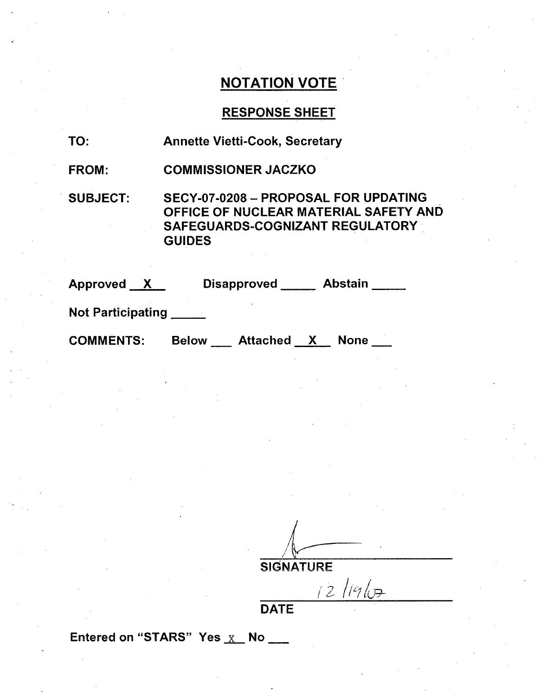# **NOTATION** VOTE'

# **RESPONSE SHEET**

| TO:                      | <b>Annette Vietti-Cook, Secretary</b>                                                                                                    |
|--------------------------|------------------------------------------------------------------------------------------------------------------------------------------|
| <b>FROM:</b>             | <b>COMMISSIONER JACZKO</b>                                                                                                               |
| <b>SUBJECT:</b>          | SECY-07-0208 - PROPOSAL FOR UPDATING<br>OFFICE OF NUCLEAR MATERIAL SAFETY AND<br><b>SAFEGUARDS-COGNIZANT REGULATORY</b><br><b>GUIDES</b> |
| Approved X               | Disapproved Abstain                                                                                                                      |
| <b>Not Participating</b> |                                                                                                                                          |
| <b>COMMENTS:</b>         | Below Attached X<br>None                                                                                                                 |

SIGNATURE<br>
2 /19/07

**DATE**

Entered on "STARS" Yes  $\overline{X}$  No \_\_\_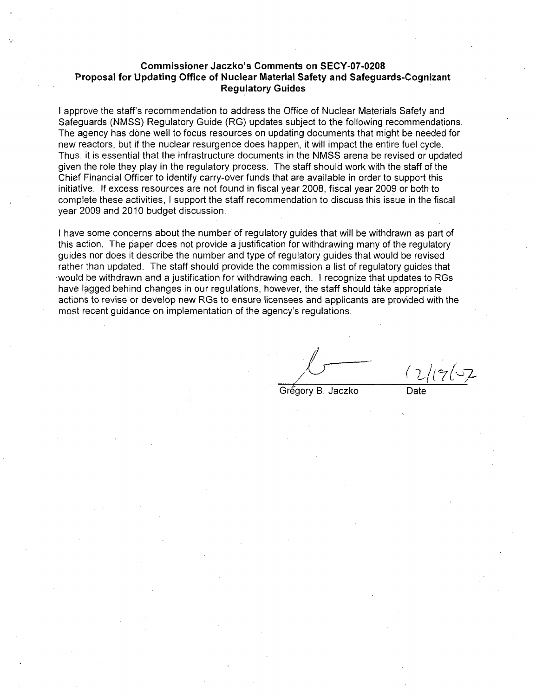#### **Commissioner Jaczko's Comments on SECY-07-0208 Proposal for Updating Office of Nuclear Material Safety and Safeguards-Cognizant Regulatory Guides**

**I** approve the staff's recommendation to address the Office of Nuclear Materials Safety and Safeguards **(NMSS)** Regulatory Guide (RG) updates subject to the following recommendations. The agency has done well to focus resources on updating documents that might be needed for new reactors, but if the nuclear resurgence does happen, it will impact the entire fuel cycle. Thus, it is essential that the infrastructure documents in the **NMVSS** arena be revised or updated given the role they play in the regulatory process. The staff should work with the staff of the Chief Financial Officer to identify carry-over funds that are available in order to support this initiative. **If** excess resources are not found in fiscal year **2008,** fiscal year **2009** or both to complete these activities, **I** support the staff recommendation to discuss this issue in the fiscal year **2009** and 2010 budget discussion.

**I** have some concerns about the number of regulatory guides that will be withdrawn as part of this action. The paper does not provide a justification for withdrawing many of the regulatory guides nor does it describe the number and type of regulatory guides that would be revised rather than updated. The staff should provide the commission a list of regulatory guides that -would be withdrawn and a justification for withdrawing each. **I** recognize that updates to RGs have lagged behind changes in our regulations, however, the staff should take appropriate actions to revise or develop new RGs to ensure licensees and applicants are provided with the most recent guidance on implementation of the agency's regulations.

Grégory B. Jaczko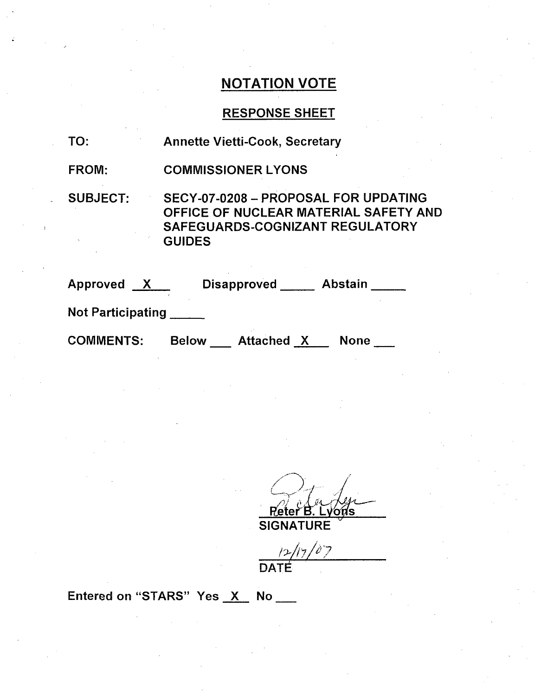# **NOTATION** VOTE

## **RESPONSE SHEET**

| TO:               | <b>Annette Vietti-Cook, Secretary</b>                                                                                             |
|-------------------|-----------------------------------------------------------------------------------------------------------------------------------|
| <b>FROM:</b>      | <b>COMMISSIONER LYONS</b>                                                                                                         |
| <b>SUBJECT:</b>   | SECY-07-0208 - PROPOSAL FOR UPDATING<br>OFFICE OF NUCLEAR MATERIAL SAFETY AND<br>SAFEGUARDS-COGNIZANT REGULATORY<br><b>GUIDES</b> |
| Approved X        | Abstain<br><b>Disapproved</b>                                                                                                     |
| Nat Dartininating |                                                                                                                                   |

Not Participating **\_\_\_**

COMMENTS: Below \_\_ Attached X None \_\_

/<br>ይላ **Reter B. Ly**<br>SIGNATURE .vons

 $12/17/07$ 

**DAT** 

Entered on "STARS" Yes X No \_\_